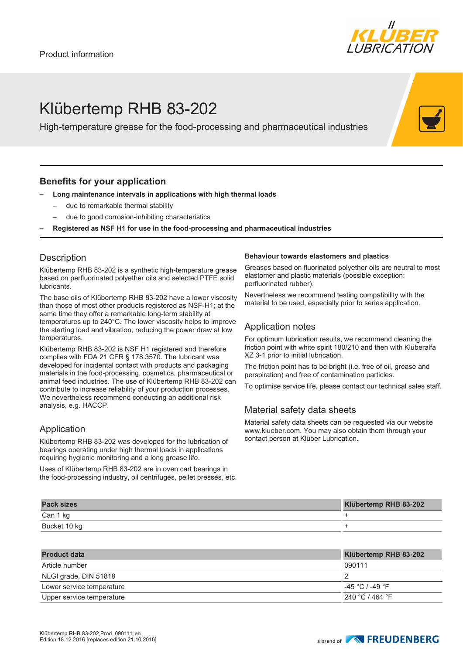

## Klübertemp RHB 83-202

High-temperature grease for the food-processing and pharmaceutical industries

### **Benefits for your application**

- **– Long maintenance intervals in applications with high thermal loads**
	- due to remarkable thermal stability
	- due to good corrosion-inhibiting characteristics
- **– Registered as NSF H1 for use in the food-processing and pharmaceutical industries**

## **Description**

Klübertemp RHB 83-202 is a synthetic high-temperature grease based on perfluorinated polyether oils and selected PTFE solid lubricants.

The base oils of Klübertemp RHB 83-202 have a lower viscosity than those of most other products registered as NSF-H1; at the same time they offer a remarkable long-term stability at temperatures up to 240°C. The lower viscosity helps to improve the starting load and vibration, reducing the power draw at low temperatures.

Klübertemp RHB 83-202 is NSF H1 registered and therefore complies with FDA 21 CFR § 178.3570. The lubricant was developed for incidental contact with products and packaging materials in the food-processing, cosmetics, pharmaceutical or animal feed industries. The use of Klübertemp RHB 83-202 can contribute to increase reliability of your production processes. We nevertheless recommend conducting an additional risk analysis, e.g. HACCP.

## Application

Klübertemp RHB 83-202 was developed for the lubrication of bearings operating under high thermal loads in applications requiring hygienic monitoring and a long grease life.

Uses of Klübertemp RHB 83-202 are in oven cart bearings in the food-processing industry, oil centrifuges, pellet presses, etc.

#### **Behaviour towards elastomers and plastics**

Greases based on fluorinated polyether oils are neutral to most elastomer and plastic materials (possible exception: perfluorinated rubber).

Nevertheless we recommend testing compatibility with the material to be used, especially prior to series application.

## Application notes

For optimum lubrication results, we recommend cleaning the friction point with white spirit 180/210 and then with Klüberalfa XZ 3-1 prior to initial lubrication.

The friction point has to be bright (i.e. free of oil, grease and perspiration) and free of contamination particles.

To optimise service life, please contact our technical sales staff.

## Material safety data sheets

Material safety data sheets can be requested via our website www.klueber.com. You may also obtain them through your contact person at Klüber Lubrication.

| <b>Pack sizes</b> | Klübertemp RHB 83-202 |
|-------------------|-----------------------|
| Can 1 kg          |                       |
| Bucket 10 kg      |                       |

| <b>Product data</b>       | Klübertemp RHB 83-202 |
|---------------------------|-----------------------|
| Article number            | 090111                |
| NLGI grade, DIN 51818     |                       |
| Lower service temperature | -45 °C / -49 °F       |
| Upper service temperature | 240 °C / 464 °F       |